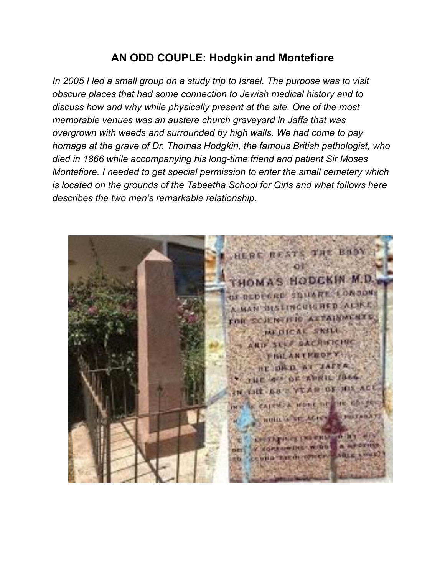# **AN ODD COUPLE: Hodgkin and Montefiore**

*In 2005 I led a small group on a study trip to Israel. The purpose was to visit obscure places that had some connection to Jewish medical history and to discuss how and why while physically present at the site. One of the most memorable venues was an austere church graveyard in Jaffa that was overgrown with weeds and surrounded by high walls. We had come to pay homage at the grave of Dr. Thomas Hodgkin, the famous British pathologist, who died in 1866 while accompanying his long-time friend and patient Sir Moses Montefiore. I needed to get special permission to enter the small cemetery which is located on the grounds of the Tabeetha School for Girls and what follows here describes the two men's remarkable relationship.* 

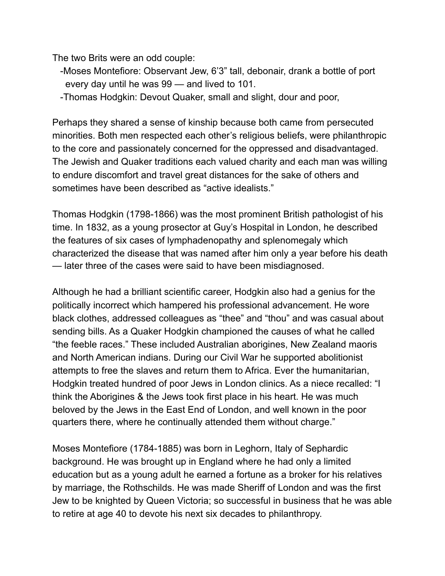The two Brits were an odd couple:

- -Moses Montefiore: Observant Jew, 6'3" tall, debonair, drank a bottle of port every day until he was 99 — and lived to 101.
- -Thomas Hodgkin: Devout Quaker, small and slight, dour and poor,

Perhaps they shared a sense of kinship because both came from persecuted minorities. Both men respected each other's religious beliefs, were philanthropic to the core and passionately concerned for the oppressed and disadvantaged. The Jewish and Quaker traditions each valued charity and each man was willing to endure discomfort and travel great distances for the sake of others and sometimes have been described as "active idealists."

Thomas Hodgkin (1798-1866) was the most prominent British pathologist of his time. In 1832, as a young prosector at Guy's Hospital in London, he described the features of six cases of lymphadenopathy and splenomegaly which characterized the disease that was named after him only a year before his death — later three of the cases were said to have been misdiagnosed.

Although he had a brilliant scientific career, Hodgkin also had a genius for the politically incorrect which hampered his professional advancement. He wore black clothes, addressed colleagues as "thee" and "thou" and was casual about sending bills. As a Quaker Hodgkin championed the causes of what he called "the feeble races." These included Australian aborigines, New Zealand maoris and North American indians. During our Civil War he supported abolitionist attempts to free the slaves and return them to Africa. Ever the humanitarian, Hodgkin treated hundred of poor Jews in London clinics. As a niece recalled: "I think the Aborigines & the Jews took first place in his heart. He was much beloved by the Jews in the East End of London, and well known in the poor quarters there, where he continually attended them without charge."

Moses Montefiore (1784-1885) was born in Leghorn, Italy of Sephardic background. He was brought up in England where he had only a limited education but as a young adult he earned a fortune as a broker for his relatives by marriage, the Rothschilds. He was made Sheriff of London and was the first Jew to be knighted by Queen Victoria; so successful in business that he was able to retire at age 40 to devote his next six decades to philanthropy.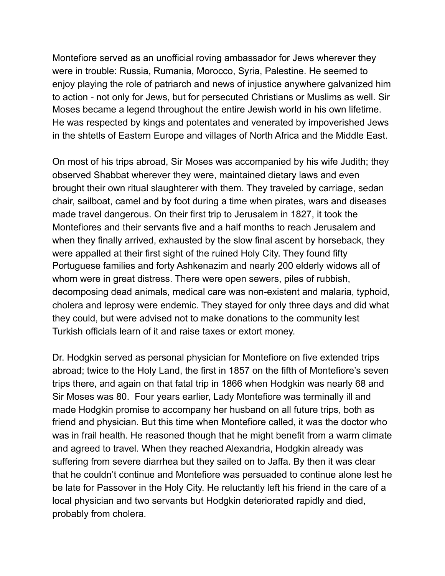Montefiore served as an unofficial roving ambassador for Jews wherever they were in trouble: Russia, Rumania, Morocco, Syria, Palestine. He seemed to enjoy playing the role of patriarch and news of injustice anywhere galvanized him to action - not only for Jews, but for persecuted Christians or Muslims as well. Sir Moses became a legend throughout the entire Jewish world in his own lifetime. He was respected by kings and potentates and venerated by impoverished Jews in the shtetls of Eastern Europe and villages of North Africa and the Middle East.

On most of his trips abroad, Sir Moses was accompanied by his wife Judith; they observed Shabbat wherever they were, maintained dietary laws and even brought their own ritual slaughterer with them. They traveled by carriage, sedan chair, sailboat, camel and by foot during a time when pirates, wars and diseases made travel dangerous. On their first trip to Jerusalem in 1827, it took the Montefiores and their servants five and a half months to reach Jerusalem and when they finally arrived, exhausted by the slow final ascent by horseback, they were appalled at their first sight of the ruined Holy City. They found fifty Portuguese families and forty Ashkenazim and nearly 200 elderly widows all of whom were in great distress. There were open sewers, piles of rubbish, decomposing dead animals, medical care was non-existent and malaria, typhoid, cholera and leprosy were endemic. They stayed for only three days and did what they could, but were advised not to make donations to the community lest Turkish officials learn of it and raise taxes or extort money.

Dr. Hodgkin served as personal physician for Montefiore on five extended trips abroad; twice to the Holy Land, the first in 1857 on the fifth of Montefiore's seven trips there, and again on that fatal trip in 1866 when Hodgkin was nearly 68 and Sir Moses was 80. Four years earlier, Lady Montefiore was terminally ill and made Hodgkin promise to accompany her husband on all future trips, both as friend and physician. But this time when Montefiore called, it was the doctor who was in frail health. He reasoned though that he might benefit from a warm climate and agreed to travel. When they reached Alexandria, Hodgkin already was suffering from severe diarrhea but they sailed on to Jaffa. By then it was clear that he couldn't continue and Montefiore was persuaded to continue alone lest he be late for Passover in the Holy City. He reluctantly left his friend in the care of a local physician and two servants but Hodgkin deteriorated rapidly and died, probably from cholera.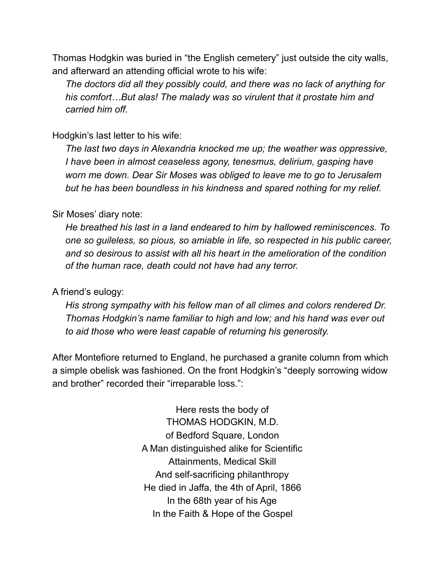Thomas Hodgkin was buried in "the English cemetery" just outside the city walls, and afterward an attending official wrote to his wife:

 *The doctors did all they possibly could, and there was no lack of anything for his comfort…But alas! The malady was so virulent that it prostate him and carried him off.* 

### Hodgkin's last letter to his wife:

 *The last two days in Alexandria knocked me up; the weather was oppressive, I have been in almost ceaseless agony, tenesmus, delirium, gasping have worn me down. Dear Sir Moses was obliged to leave me to go to Jerusalem but he has been boundless in his kindness and spared nothing for my relief.* 

#### Sir Moses' diary note:

 *He breathed his last in a land endeared to him by hallowed reminiscences. To one so guileless, so pious, so amiable in life, so respected in his public career, and so desirous to assist with all his heart in the amelioration of the condition of the human race, death could not have had any terror.* 

## A friend's eulogy:

 *His strong sympathy with his fellow man of all climes and colors rendered Dr. Thomas Hodgkin's name familiar to high and low; and his hand was ever out to aid those who were least capable of returning his generosity.* 

After Montefiore returned to England, he purchased a granite column from which a simple obelisk was fashioned. On the front Hodgkin's "deeply sorrowing widow and brother" recorded their "irreparable loss.":

> Here rests the body of THOMAS HODGKIN, M.D. of Bedford Square, London A Man distinguished alike for Scientific Attainments, Medical Skill And self-sacrificing philanthropy He died in Jaffa, the 4th of April, 1866 In the 68th year of his Age In the Faith & Hope of the Gospel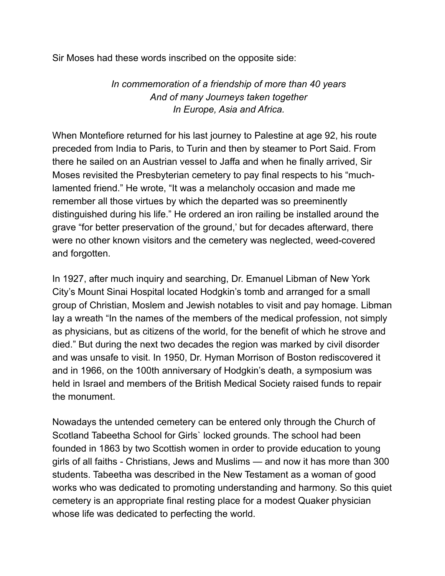Sir Moses had these words inscribed on the opposite side:

 *In commemoration of a friendship of more than 40 years And of many Journeys taken together In Europe, Asia and Africa.* 

When Montefiore returned for his last journey to Palestine at age 92, his route preceded from India to Paris, to Turin and then by steamer to Port Said. From there he sailed on an Austrian vessel to Jaffa and when he finally arrived, Sir Moses revisited the Presbyterian cemetery to pay final respects to his "muchlamented friend." He wrote, "It was a melancholy occasion and made me remember all those virtues by which the departed was so preeminently distinguished during his life." He ordered an iron railing be installed around the grave "for better preservation of the ground,' but for decades afterward, there were no other known visitors and the cemetery was neglected, weed-covered and forgotten.

In 1927, after much inquiry and searching, Dr. Emanuel Libman of New York City's Mount Sinai Hospital located Hodgkin's tomb and arranged for a small group of Christian, Moslem and Jewish notables to visit and pay homage. Libman lay a wreath "In the names of the members of the medical profession, not simply as physicians, but as citizens of the world, for the benefit of which he strove and died." But during the next two decades the region was marked by civil disorder and was unsafe to visit. In 1950, Dr. Hyman Morrison of Boston rediscovered it and in 1966, on the 100th anniversary of Hodgkin's death, a symposium was held in Israel and members of the British Medical Society raised funds to repair the monument.

Nowadays the untended cemetery can be entered only through the Church of Scotland Tabeetha School for Girls` locked grounds. The school had been founded in 1863 by two Scottish women in order to provide education to young girls of all faiths - Christians, Jews and Muslims — and now it has more than 300 students. Tabeetha was described in the New Testament as a woman of good works who was dedicated to promoting understanding and harmony. So this quiet cemetery is an appropriate final resting place for a modest Quaker physician whose life was dedicated to perfecting the world.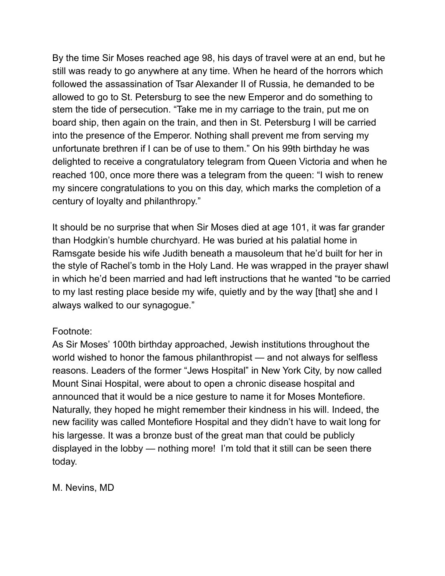By the time Sir Moses reached age 98, his days of travel were at an end, but he still was ready to go anywhere at any time. When he heard of the horrors which followed the assassination of Tsar Alexander II of Russia, he demanded to be allowed to go to St. Petersburg to see the new Emperor and do something to stem the tide of persecution. "Take me in my carriage to the train, put me on board ship, then again on the train, and then in St. Petersburg I will be carried into the presence of the Emperor. Nothing shall prevent me from serving my unfortunate brethren if I can be of use to them." On his 99th birthday he was delighted to receive a congratulatory telegram from Queen Victoria and when he reached 100, once more there was a telegram from the queen: "I wish to renew my sincere congratulations to you on this day, which marks the completion of a century of loyalty and philanthropy."

It should be no surprise that when Sir Moses died at age 101, it was far grander than Hodgkin's humble churchyard. He was buried at his palatial home in Ramsgate beside his wife Judith beneath a mausoleum that he'd built for her in the style of Rachel's tomb in the Holy Land. He was wrapped in the prayer shawl in which he'd been married and had left instructions that he wanted "to be carried to my last resting place beside my wife, quietly and by the way [that] she and I always walked to our synagogue."

## Footnote:

As Sir Moses' 100th birthday approached, Jewish institutions throughout the world wished to honor the famous philanthropist — and not always for selfless reasons. Leaders of the former "Jews Hospital" in New York City, by now called Mount Sinai Hospital, were about to open a chronic disease hospital and announced that it would be a nice gesture to name it for Moses Montefiore. Naturally, they hoped he might remember their kindness in his will. Indeed, the new facility was called Montefiore Hospital and they didn't have to wait long for his largesse. It was a bronze bust of the great man that could be publicly displayed in the lobby — nothing more! I'm told that it still can be seen there today.

M. Nevins, MD